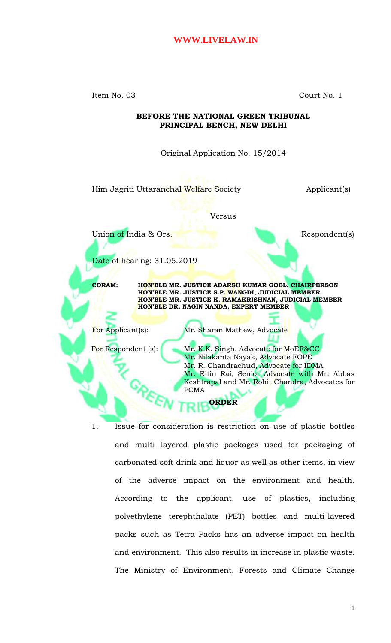Item No. 03 Court No. 1

#### **BEFORE THE NATIONAL GREEN TRIBUNAL PRINCIPAL BENCH, NEW DELHI**

Original Application No. 15/2014

Him Jagriti Uttaranchal Welfare Society **Applicant**(s)

Versus

Union of India & Ors. Respondent(s)

Date of hearing: 31.05.2019

**CORAM: HON'BLE MR. JUSTICE ADARSH KUMAR GOEL, CHAIRPERSON HON'BLE MR. JUSTICE S.P. WANGDI, JUDICIAL MEMBER HON'BLE MR. JUSTICE K. RAMAKRISHNAN, JUDICIAL MEMBER HON'BLE DR. NAGIN NANDA, EXPERT MEMBER**

For Applicant(s): Mr. Sharan Mathew, Advocate

For Respondent (s): Mr. K.K. Singh, Advocate for MoEF&CC Mr. Nilakanta Nayak, Advocate FOPE Mr. R. Chandrachud, Advocate for IDMA Mr. Ritin Rai, Senior Advocate with Mr. Abbas Keshtrapal and Mr. Rohit Chandra, Advocates for PCMA

**ORDER**

1. Issue for consideration is restriction on use of plastic bottles and multi layered plastic packages used for packaging of carbonated soft drink and liquor as well as other items, in view of the adverse impact on the environment and health. According to the applicant, use of plastics, including polyethylene terephthalate (PET) bottles and multi-layered packs such as Tetra Packs has an adverse impact on health and environment. This also results in increase in plastic waste. The Ministry of Environment, Forests and Climate Change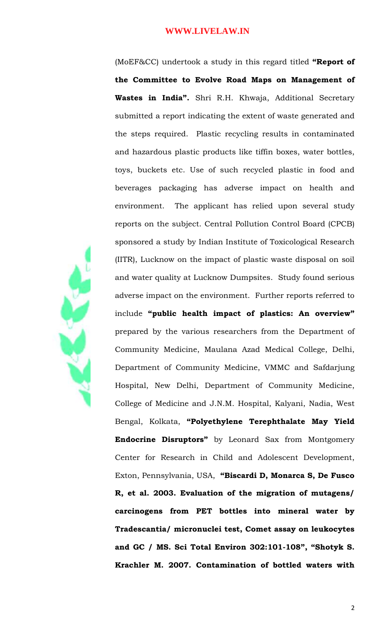(MoEF&CC) undertook a study in this regard titled **"Report of the Committee to Evolve Road Maps on Management of Wastes in India".** Shri R.H. Khwaja, Additional Secretary submitted a report indicating the extent of waste generated and the steps required. Plastic recycling results in contaminated and hazardous plastic products like tiffin boxes, water bottles, toys, buckets etc. Use of such recycled plastic in food and beverages packaging has adverse impact on health and environment. The applicant has relied upon several study reports on the subject. Central Pollution Control Board (CPCB) sponsored a study by Indian Institute of Toxicological Research (IITR), Lucknow on the impact of plastic waste disposal on soil and water quality at Lucknow Dumpsites. Study found serious adverse impact on the environment. Further reports referred to include **"public health impact of plastics: An overview"** prepared by the various researchers from the Department of Community Medicine, Maulana Azad Medical College, Delhi, Department of Community Medicine, VMMC and Safdarjung Hospital, New Delhi, Department of Community Medicine, College of Medicine and J.N.M. Hospital, Kalyani, Nadia, West Bengal, Kolkata, **"Polyethylene Terephthalate May Yield Endocrine Disruptors"** by Leonard Sax from Montgomery Center for Research in Child and Adolescent Development, Exton, Pennsylvania, USA, **"Biscardi D, Monarca S, De Fusco R, et al. 2003. Evaluation of the migration of mutagens/ carcinogens from PET bottles into mineral water by Tradescantia/ micronuclei test, Comet assay on leukocytes and GC / MS. Sci Total Environ 302:101-108", "Shotyk S. Krachler M. 2007. Contamination of bottled waters with**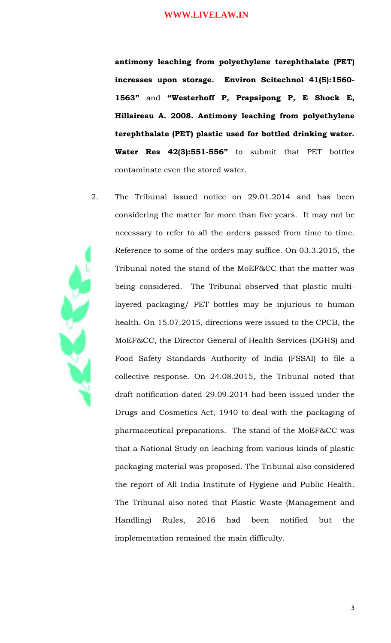**antimony leaching from polyethylene terephthalate (PET) increases upon storage. Environ Scitechnol 41(5):1560- 1563"** and **"Westerhoff P, Prapaipong P, E Shock E, Hillaireau A. 2008. Antimony leaching from polyethylene terephthalate (PET) plastic used for bottled drinking water. Water Res 42(3):551-556"** to submit that PET bottles contaminate even the stored water.

2. The Tribunal issued notice on 29.01.2014 and has been considering the matter for more than five years. It may not be necessary to refer to all the orders passed from time to time. Reference to some of the orders may suffice. On 03.3.2015, the Tribunal noted the stand of the MoEF&CC that the matter was being considered. The Tribunal observed that plastic multilayered packaging/ PET bottles may be injurious to human health. On 15.07.2015, directions were issued to the CPCB, the MoEF&CC, the Director General of Health Services (DGHS) and Food Safety Standards Authority of India (FSSAI) to file a collective response. On 24.08.2015, the Tribunal noted that draft notification dated 29.09.2014 had been issued under the Drugs and Cosmetics Act, 1940 to deal with the packaging of pharmaceutical preparations. The stand of the MoEF&CC was that a National Study on leaching from various kinds of plastic packaging material was proposed. The Tribunal also considered the report of All India Institute of Hygiene and Public Health. The Tribunal also noted that Plastic Waste (Management and Handling) Rules, 2016 had been notified but the implementation remained the main difficulty.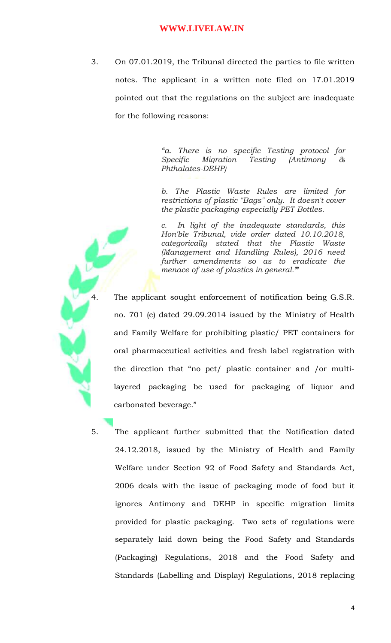3. On 07.01.2019, the Tribunal directed the parties to file written notes. The applicant in a written note filed on 17.01.2019 pointed out that the regulations on the subject are inadequate for the following reasons:

> *"a. There is no specific Testing protocol for Specific Migration Testing (Antimony & Phthalates-DEHP)*

> *b. The Plastic Waste Rules are limited for restrictions of plastic "Bags" only. It doesn't cover the plastic packaging especially PET Bottles.*

> *c. In light of the inadequate standards, this Hon'ble Tribunal, vide order dated 10.10.2018, categorically stated that the Plastic Waste (Management and Handling Rules), 2016 need further amendments so as to eradicate the menace of use of plastics in general."*

The applicant sought enforcement of notification being G.S.R. no. 701 (e) dated 29.09.2014 issued by the Ministry of Health and Family Welfare for prohibiting plastic/ PET containers for oral pharmaceutical activities and fresh label registration with the direction that "no pet/ plastic container and /or multilayered packaging be used for packaging of liquor and carbonated beverage."

5. The applicant further submitted that the Notification dated 24.12.2018, issued by the Ministry of Health and Family Welfare under Section 92 of Food Safety and Standards Act, 2006 deals with the issue of packaging mode of food but it ignores Antimony and DEHP in specific migration limits provided for plastic packaging. Two sets of regulations were separately laid down being the Food Safety and Standards (Packaging) Regulations, 2018 and the Food Safety and Standards (Labelling and Display) Regulations, 2018 replacing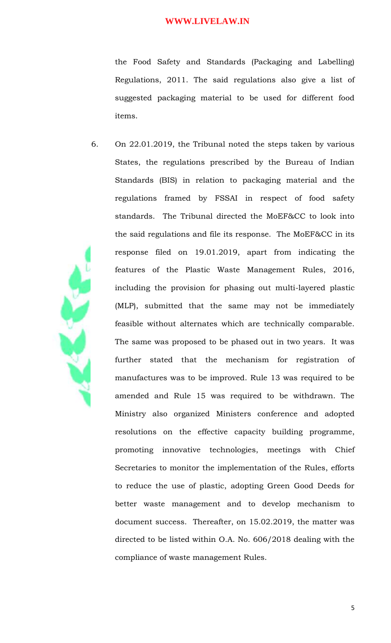the Food Safety and Standards (Packaging and Labelling) Regulations, 2011. The said regulations also give a list of suggested packaging material to be used for different food items.

6. On 22.01.2019, the Tribunal noted the steps taken by various States, the regulations prescribed by the Bureau of Indian Standards (BIS) in relation to packaging material and the regulations framed by FSSAI in respect of food safety standards. The Tribunal directed the MoEF&CC to look into the said regulations and file its response. The MoEF&CC in its response filed on 19.01.2019, apart from indicating the features of the Plastic Waste Management Rules, 2016, including the provision for phasing out multi-layered plastic (MLP), submitted that the same may not be immediately feasible without alternates which are technically comparable. The same was proposed to be phased out in two years. It was further stated that the mechanism for registration of manufactures was to be improved. Rule 13 was required to be amended and Rule 15 was required to be withdrawn. The Ministry also organized Ministers conference and adopted resolutions on the effective capacity building programme, promoting innovative technologies, meetings with Chief Secretaries to monitor the implementation of the Rules, efforts to reduce the use of plastic, adopting Green Good Deeds for better waste management and to develop mechanism to document success. Thereafter, on 15.02.2019, the matter was directed to be listed within O.A. No. 606/2018 dealing with the compliance of waste management Rules.

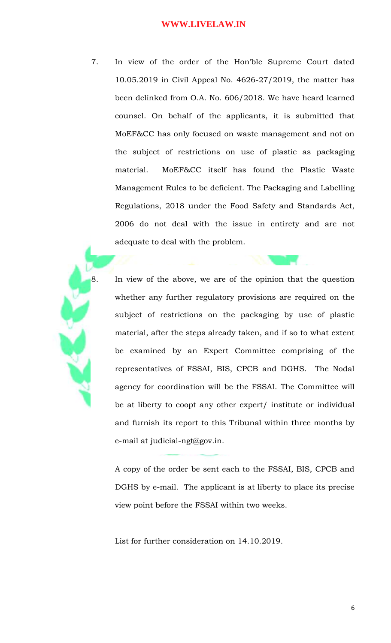7. In view of the order of the Hon'ble Supreme Court dated 10.05.2019 in Civil Appeal No. 4626-27/2019, the matter has been delinked from O.A. No. 606/2018. We have heard learned counsel. On behalf of the applicants, it is submitted that MoEF&CC has only focused on waste management and not on the subject of restrictions on use of plastic as packaging material. MoEF&CC itself has found the Plastic Waste Management Rules to be deficient. The Packaging and Labelling Regulations, 2018 under the Food Safety and Standards Act, 2006 do not deal with the issue in entirety and are not adequate to deal with the problem.

8. In view of the above, we are of the opinion that the question whether any further regulatory provisions are required on the subject of restrictions on the packaging by use of plastic material, after the steps already taken, and if so to what extent be examined by an Expert Committee comprising of the representatives of FSSAI, BIS, CPCB and DGHS. The Nodal agency for coordination will be the FSSAI. The Committee will be at liberty to coopt any other expert/ institute or individual and furnish its report to this Tribunal within three months by e-mail at judicial-ngt@gov.in.

A copy of the order be sent each to the FSSAI, BIS, CPCB and DGHS by e-mail. The applicant is at liberty to place its precise view point before the FSSAI within two weeks.

List for further consideration on 14.10.2019.